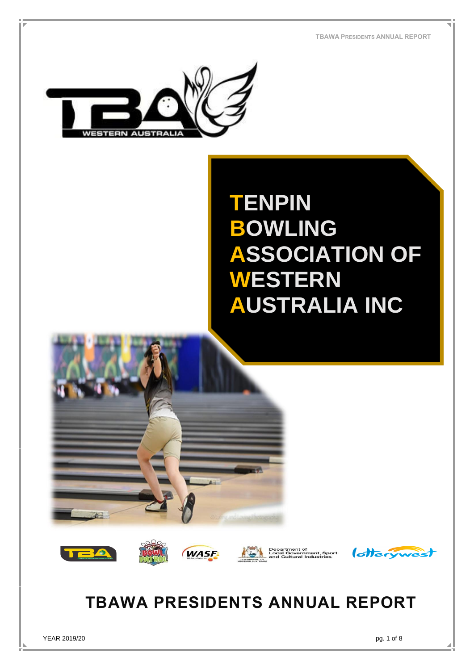**TBAWA PRESIDENTS ANNUAL REPORT**



# **TENPIN BOWLING ASSOCIATION OF WESTERN AUSTRALIA INC**













## **TBAWA PRESIDENTS ANNUAL REPORT**

YEAR 2019/20 pg. 1 of 8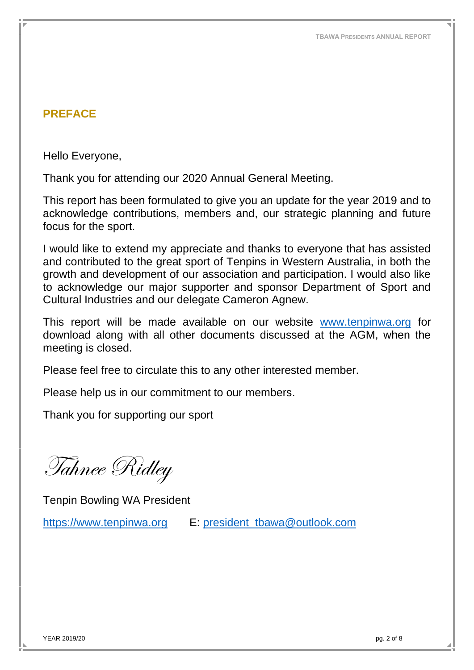## <span id="page-1-0"></span>**PREFACE**

Hello Everyone,

Thank you for attending our 2020 Annual General Meeting.

This report has been formulated to give you an update for the year 2019 and to acknowledge contributions, members and, our strategic planning and future focus for the sport.

I would like to extend my appreciate and thanks to everyone that has assisted and contributed to the great sport of Tenpins in Western Australia, in both the growth and development of our association and participation. I would also like to acknowledge our major supporter and sponsor Department of Sport and Cultural Industries and our delegate Cameron Agnew.

This report will be made available on our website [www.tenpinwa.org](http://www.tenpinwa.org/) for download along with all other documents discussed at the AGM, when the meeting is closed.

Please feel free to circulate this to any other interested member.

Please help us in our commitment to our members.

Thank you for supporting our sport

Tahnee Ridley

Tenpin Bowling WA President

[https://www.tenpinwa.org](https://www.tenpinwa.org/) E: [president\\_tbawa@outlook.com](mailto:president_tbawa@outlook.com)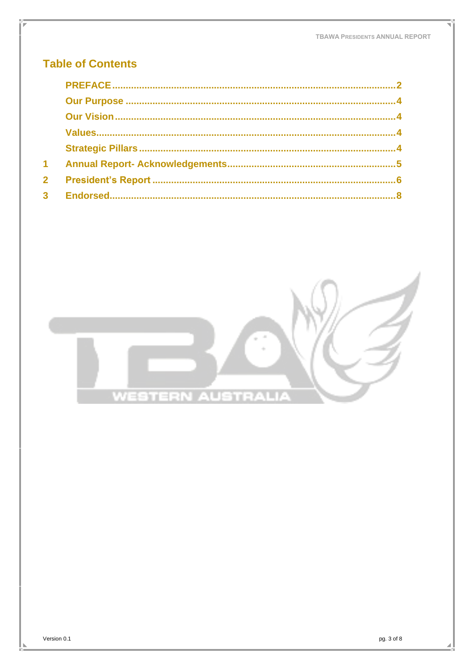### **Table of Contents**

| $\blacktriangleleft$ |  |
|----------------------|--|
| $\mathbf{2}$         |  |
|                      |  |



pg. 3 of 8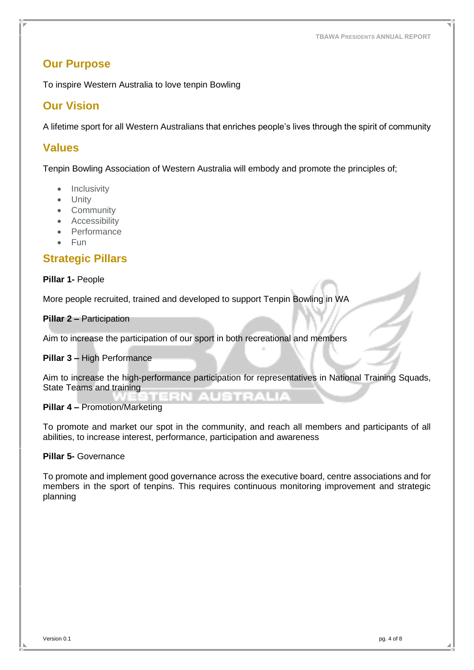#### <span id="page-3-0"></span>**Our Purpose**

To inspire Western Australia to love tenpin Bowling

#### <span id="page-3-1"></span>**Our Vision**

A lifetime sport for all Western Australians that enriches people's lives through the spirit of community

#### <span id="page-3-2"></span>**Values**

Tenpin Bowling Association of Western Australia will embody and promote the principles of;

- Inclusivity
- Unity
- Community
- Accessibility
- Performance
- Fun

### <span id="page-3-3"></span>**Strategic Pillars**

#### **Pillar 1-** People

More people recruited, trained and developed to support Tenpin Bowling in WA

#### **Pillar 2 –** Participation

Aim to increase the participation of our sport in both recreational and members

#### **Pillar 3 –** High Performance

Aim to increase the high-performance participation for representatives in National Training Squads, State Teams and training

#### **Pillar 4 –** Promotion/Marketing

To promote and market our spot in the community, and reach all members and participants of all abilities, to increase interest, performance, participation and awareness

#### **Pillar 5-** Governance

To promote and implement good governance across the executive board, centre associations and for members in the sport of tenpins. This requires continuous monitoring improvement and strategic planning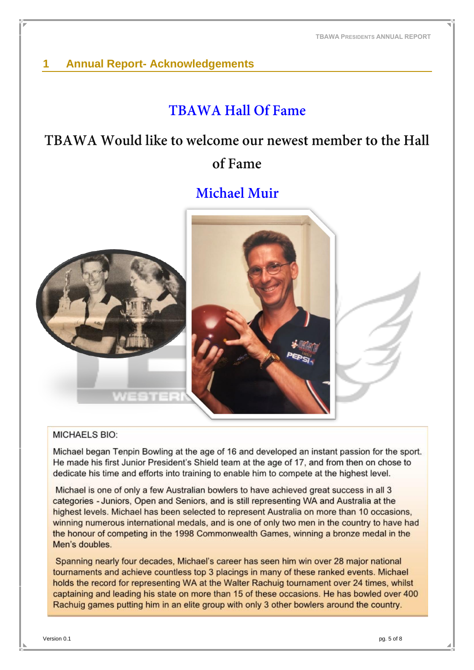## <span id="page-4-0"></span>**1 Annual Report- Acknowledgements**

## **TRAWA Hall Of Fame**

## TBAWA Would like to welcome our newest member to the Hall of Fame

## **Michael Muir**



#### **MICHAELS BIO:**

Michael began Tenpin Bowling at the age of 16 and developed an instant passion for the sport. He made his first Junior President's Shield team at the age of 17, and from then on chose to dedicate his time and efforts into training to enable him to compete at the highest level.

Michael is one of only a few Australian bowlers to have achieved great success in all 3 categories - Juniors, Open and Seniors, and is still representing WA and Australia at the highest levels. Michael has been selected to represent Australia on more than 10 occasions, winning numerous international medals, and is one of only two men in the country to have had the honour of competing in the 1998 Commonwealth Games, winning a bronze medal in the Men's doubles.

Spanning nearly four decades, Michael's career has seen him win over 28 major national tournaments and achieve countless top 3 placings in many of these ranked events. Michael holds the record for representing WA at the Walter Rachuig tournament over 24 times, whilst captaining and leading his state on more than 15 of these occasions. He has bowled over 400 Rachuig games putting him in an elite group with only 3 other bowlers around the country.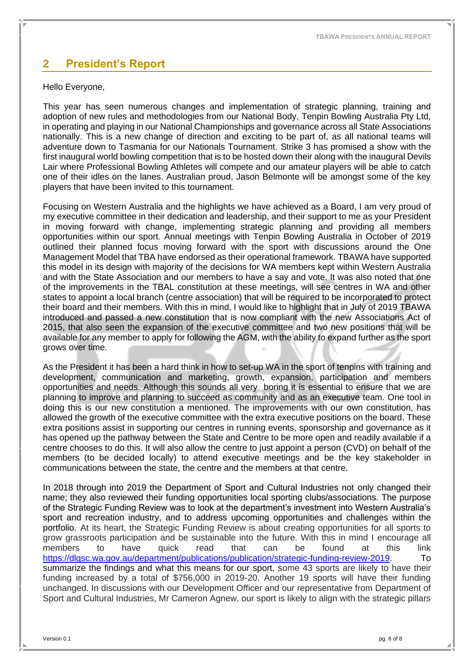### <span id="page-5-0"></span>**2 President's Report**

#### Hello Everyone,

This year has seen numerous changes and implementation of strategic planning, training and adoption of new rules and methodologies from our National Body, Tenpin Bowling Australia Pty Ltd, in operating and playing in our National Championships and governance across all State Associations nationally. This is a new change of direction and exciting to be part of, as all national teams will adventure down to Tasmania for our Nationals Tournament. Strike 3 has promised a show with the first inaugural world bowling competition that is to be hosted down their along with the inaugural Devils Lair where Professional Bowling Athletes will compete and our amateur players will be able to catch one of their idles on the lanes. Australian proud, Jason Belmonte will be amongst some of the key players that have been invited to this tournament.

Focusing on Western Australia and the highlights we have achieved as a Board, I am very proud of my executive committee in their dedication and leadership, and their support to me as your President in moving forward with change, implementing strategic planning and providing all members opportunities within our sport. Annual meetings with Tenpin Bowling Australia in October of 2019 outlined their planned focus moving forward with the sport with discussions around the One Management Model that TBA have endorsed as their operational framework. TBAWA have supported this model in its design with majority of the decisions for WA members kept within Western Australia and with the State Association and our members to have a say and vote. It was also noted that one of the improvements in the TBAL constitution at these meetings, will see centres in WA and other states to appoint a local branch (centre association) that will be required to be incorporated to protect their board and their members. With this in mind, I would like to highlight that in July of 2019 TBAWA introduced and passed a new constitution that is now compliant with the new Associations Act of 2015, that also seen the expansion of the executive committee and two new positions that will be available for any member to apply for following the AGM, with the ability to expand further as the sport grows over time.

As the President it has been a hard think in how to set-up WA in the sport of tenpins with training and development, communication and marketing, growth, expansion, participation and members opportunities and needs. Although this sounds all very boring it is essential to ensure that we are planning to improve and planning to succeed as community and as an executive team. One tool in doing this is our new constitution a mentioned. The improvements with our own constitution, has allowed the growth of the executive committee with the extra executive positions on the board. These extra positions assist in supporting our centres in running events, sponsorship and governance as it has opened up the pathway between the State and Centre to be more open and readily available if a centre chooses to do this. It will also allow the centre to just appoint a person (CVD) on behalf of the members (to be decided locally) to attend executive meetings and be the key stakeholder in communications between the state, the centre and the members at that centre.

In 2018 through into 2019 the Department of Sport and Cultural Industries not only changed their name; they also reviewed their funding opportunities local sporting clubs/associations. The purpose of the Strategic Funding Review was to look at the department's investment into Western Australia's sport and recreation industry, and to address upcoming opportunities and challenges within the portfolio. At its heart, the Strategic Funding Review is about creating opportunities for all sports to grow grassroots participation and be sustainable into the future. With this in mind I encourage all members to have quick read that can be found at this link [https://dlgsc.wa.gov.au/department/publications/publication/strategic-funding-review-2019.](https://dlgsc.wa.gov.au/department/publications/publication/strategic-funding-review-2019) To summarize the findings and what this means for our sport, some 43 sports are likely to have their funding increased by a total of \$756,000 in 2019-20. Another 19 sports will have their funding unchanged. In discussions with our Development Officer and our representative from Department of Sport and Cultural Industries, Mr Cameron Agnew, our sport is likely to align with the strategic pillars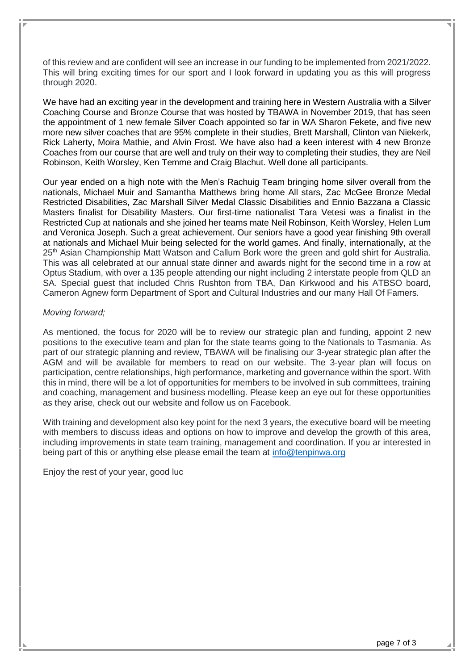of this review and are confident will see an increase in our funding to be implemented from 2021/2022. This will bring exciting times for our sport and I look forward in updating you as this will progress through 2020.

We have had an exciting year in the development and training here in Western Australia with a Silver Coaching Course and Bronze Course that was hosted by TBAWA in November 2019, that has seen the appointment of 1 new female Silver Coach appointed so far in WA Sharon Fekete, and five new more new silver coaches that are 95% complete in their studies, Brett Marshall, Clinton van Niekerk, Rick Laherty, Moira Mathie, and Alvin Frost. We have also had a keen interest with 4 new Bronze Coaches from our course that are well and truly on their way to completing their studies, they are Neil Robinson, Keith Worsley, Ken Temme and Craig Blachut. Well done all participants.

Our year ended on a high note with the Men's Rachuig Team bringing home silver overall from the nationals, Michael Muir and Samantha Matthews bring home All stars, Zac McGee Bronze Medal Restricted Disabilities, Zac Marshall Silver Medal Classic Disabilities and Ennio Bazzana a Classic Masters finalist for Disability Masters. Our first-time nationalist Tara Vetesi was a finalist in the Restricted Cup at nationals and she joined her teams mate Neil Robinson, Keith Worsley, Helen Lum and Veronica Joseph. Such a great achievement. Our seniors have a good year finishing 9th overall at nationals and Michael Muir being selected for the world games. And finally, internationally, at the 25<sup>th</sup> Asian Championship Matt Watson and Callum Bork wore the green and gold shirt for Australia. This was all celebrated at our annual state dinner and awards night for the second time in a row at Optus Stadium, with over a 135 people attending our night including 2 interstate people from QLD an SA. Special guest that included Chris Rushton from TBA, Dan Kirkwood and his ATBSO board, Cameron Agnew form Department of Sport and Cultural Industries and our many Hall Of Famers.

#### *Moving forward;*

As mentioned, the focus for 2020 will be to review our strategic plan and funding, appoint 2 new positions to the executive team and plan for the state teams going to the Nationals to Tasmania. As part of our strategic planning and review, TBAWA will be finalising our 3-year strategic plan after the AGM and will be available for members to read on our website. The 3-year plan will focus on participation, centre relationships, high performance, marketing and governance within the sport. With this in mind, there will be a lot of opportunities for members to be involved in sub committees, training and coaching, management and business modelling. Please keep an eye out for these opportunities as they arise, check out our website and follow us on Facebook.

With training and development also key point for the next 3 years, the executive board will be meeting with members to discuss ideas and options on how to improve and develop the growth of this area, including improvements in state team training, management and coordination. If you ar interested in being part of this or anything else please email the team at [info@tenpinwa.org](mailto:info@tenpinwa.org)

Enjoy the rest of your year, good luc